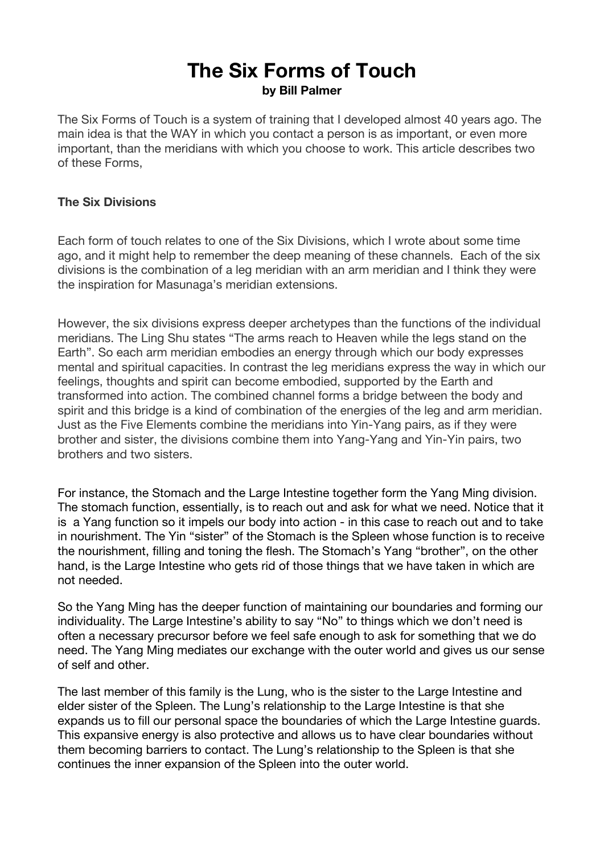# **The Six Forms of Touch by Bill Palmer**

The Six Forms of Touch is a system of training that I developed almost 40 years ago. The main idea is that the WAY in which you contact a person is as important, or even more important, than the meridians with which you choose to work. This article describes two of these Forms,

## **The Six Divisions**

Each form of touch relates to one of the Six Divisions, which I wrote about some time ago, and it might help to remember the deep meaning of these channels. Each of the six divisions is the combination of a leg meridian with an arm meridian and I think they were the inspiration for Masunaga's meridian extensions.

However, the six divisions express deeper archetypes than the functions of the individual meridians. The Ling Shu states "The arms reach to Heaven while the legs stand on the Earth". So each arm meridian embodies an energy through which our body expresses mental and spiritual capacities. In contrast the leg meridians express the way in which our feelings, thoughts and spirit can become embodied, supported by the Earth and transformed into action. The combined channel forms a bridge between the body and spirit and this bridge is a kind of combination of the energies of the leg and arm meridian. Just as the Five Elements combine the meridians into Yin-Yang pairs, as if they were brother and sister, the divisions combine them into Yang-Yang and Yin-Yin pairs, two brothers and two sisters.

For instance, the Stomach and the Large Intestine together form the Yang Ming division. The stomach function, essentially, is to reach out and ask for what we need. Notice that it is a Yang function so it impels our body into action - in this case to reach out and to take in nourishment. The Yin "sister" of the Stomach is the Spleen whose function is to receive the nourishment, filling and toning the flesh. The Stomach's Yang "brother", on the other hand, is the Large Intestine who gets rid of those things that we have taken in which are not needed.

So the Yang Ming has the deeper function of maintaining our boundaries and forming our individuality. The Large Intestine's ability to say "No" to things which we don't need is often a necessary precursor before we feel safe enough to ask for something that we do need. The Yang Ming mediates our exchange with the outer world and gives us our sense of self and other.

The last member of this family is the Lung, who is the sister to the Large Intestine and elder sister of the Spleen. The Lung's relationship to the Large Intestine is that she expands us to fill our personal space the boundaries of which the Large Intestine guards. This expansive energy is also protective and allows us to have clear boundaries without them becoming barriers to contact. The Lung's relationship to the Spleen is that she continues the inner expansion of the Spleen into the outer world.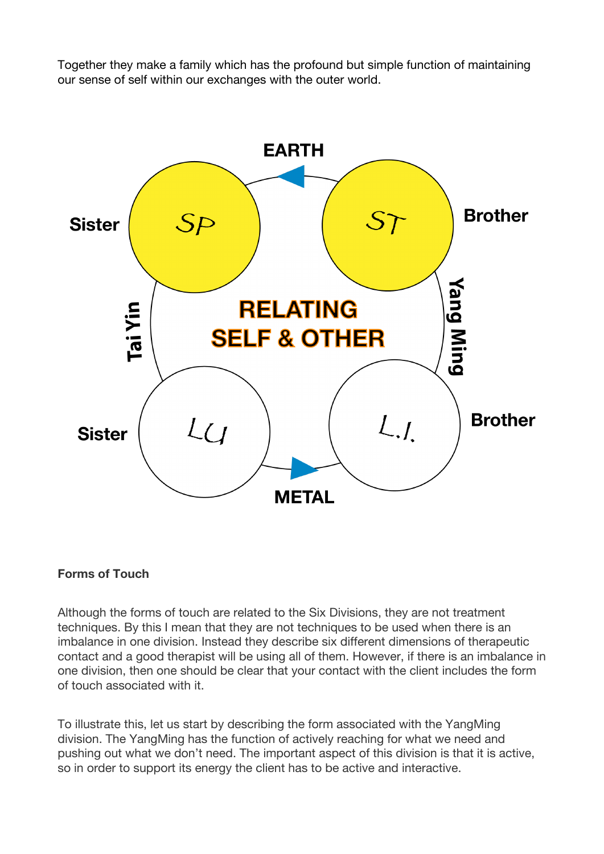Together they make a family which has the profound but simple function of maintaining our sense of self within our exchanges with the outer world.



#### **Forms of Touch**

Although the forms of touch are related to the Six Divisions, they are not treatment techniques. By this I mean that they are not techniques to be used when there is an imbalance in one division. Instead they describe six different dimensions of therapeutic contact and a good therapist will be using all of them. However, if there is an imbalance in one division, then one should be clear that your contact with the client includes the form of touch associated with it.

To illustrate this, let us start by describing the form associated with the YangMing division. The YangMing has the function of actively reaching for what we need and pushing out what we don't need. The important aspect of this division is that it is active, so in order to support its energy the client has to be active and interactive.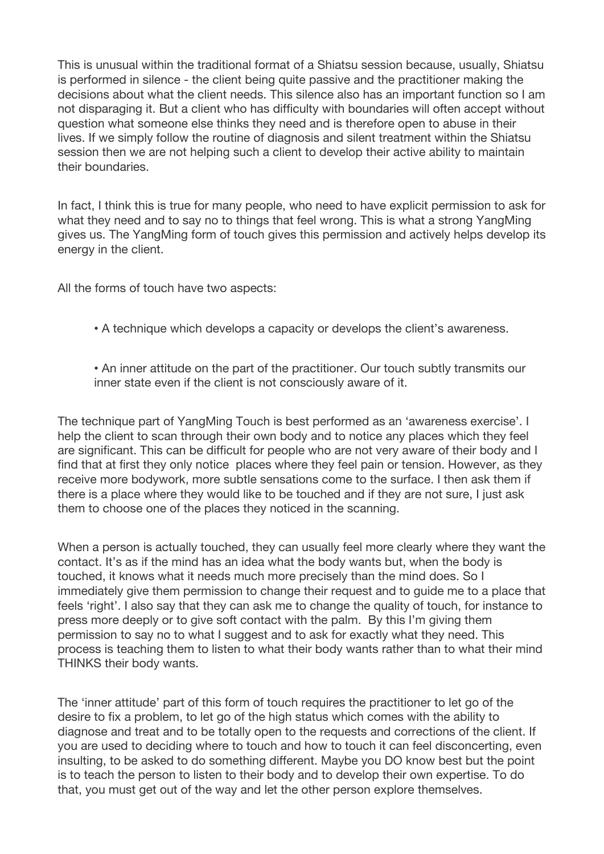This is unusual within the traditional format of a Shiatsu session because, usually, Shiatsu is performed in silence - the client being quite passive and the practitioner making the decisions about what the client needs. This silence also has an important function so I am not disparaging it. But a client who has difficulty with boundaries will often accept without question what someone else thinks they need and is therefore open to abuse in their lives. If we simply follow the routine of diagnosis and silent treatment within the Shiatsu session then we are not helping such a client to develop their active ability to maintain their boundaries.

In fact, I think this is true for many people, who need to have explicit permission to ask for what they need and to say no to things that feel wrong. This is what a strong YangMing gives us. The YangMing form of touch gives this permission and actively helps develop its energy in the client.

All the forms of touch have two aspects:

- A technique which develops a capacity or develops the client's awareness.
- An inner attitude on the part of the practitioner. Our touch subtly transmits our inner state even if the client is not consciously aware of it.

The technique part of YangMing Touch is best performed as an 'awareness exercise'. I help the client to scan through their own body and to notice any places which they feel are significant. This can be difficult for people who are not very aware of their body and I find that at first they only notice places where they feel pain or tension. However, as they receive more bodywork, more subtle sensations come to the surface. I then ask them if there is a place where they would like to be touched and if they are not sure, I just ask them to choose one of the places they noticed in the scanning.

When a person is actually touched, they can usually feel more clearly where they want the contact. It's as if the mind has an idea what the body wants but, when the body is touched, it knows what it needs much more precisely than the mind does. So I immediately give them permission to change their request and to guide me to a place that feels 'right'. I also say that they can ask me to change the quality of touch, for instance to press more deeply or to give soft contact with the palm. By this I'm giving them permission to say no to what I suggest and to ask for exactly what they need. This process is teaching them to listen to what their body wants rather than to what their mind THINKS their body wants.

The 'inner attitude' part of this form of touch requires the practitioner to let go of the desire to fix a problem, to let go of the high status which comes with the ability to diagnose and treat and to be totally open to the requests and corrections of the client. If you are used to deciding where to touch and how to touch it can feel disconcerting, even insulting, to be asked to do something different. Maybe you DO know best but the point is to teach the person to listen to their body and to develop their own expertise. To do that, you must get out of the way and let the other person explore themselves.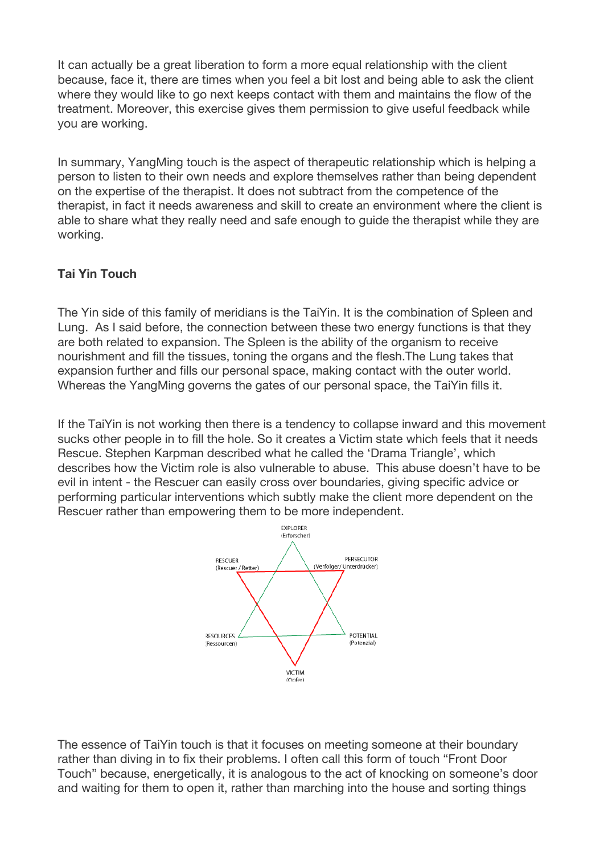It can actually be a great liberation to form a more equal relationship with the client because, face it, there are times when you feel a bit lost and being able to ask the client where they would like to go next keeps contact with them and maintains the flow of the treatment. Moreover, this exercise gives them permission to give useful feedback while you are working.

In summary, YangMing touch is the aspect of therapeutic relationship which is helping a person to listen to their own needs and explore themselves rather than being dependent on the expertise of the therapist. It does not subtract from the competence of the therapist, in fact it needs awareness and skill to create an environment where the client is able to share what they really need and safe enough to guide the therapist while they are working.

# **Tai Yin Touch**

The Yin side of this family of meridians is the TaiYin. It is the combination of Spleen and Lung. As I said before, the connection between these two energy functions is that they are both related to expansion. The Spleen is the ability of the organism to receive nourishment and fill the tissues, toning the organs and the flesh.The Lung takes that expansion further and fills our personal space, making contact with the outer world. Whereas the YangMing governs the gates of our personal space, the TaiYin fills it.

If the TaiYin is not working then there is a tendency to collapse inward and this movement sucks other people in to fill the hole. So it creates a Victim state which feels that it needs Rescue. Stephen Karpman described what he called the 'Drama Triangle', which describes how the Victim role is also vulnerable to abuse. This abuse doesn't have to be evil in intent - the Rescuer can easily cross over boundaries, giving specific advice or performing particular interventions which subtly make the client more dependent on the Rescuer rather than empowering them to be more independent.



The essence of TaiYin touch is that it focuses on meeting someone at their boundary rather than diving in to fix their problems. I often call this form of touch "Front Door Touch" because, energetically, it is analogous to the act of knocking on someone's door and waiting for them to open it, rather than marching into the house and sorting things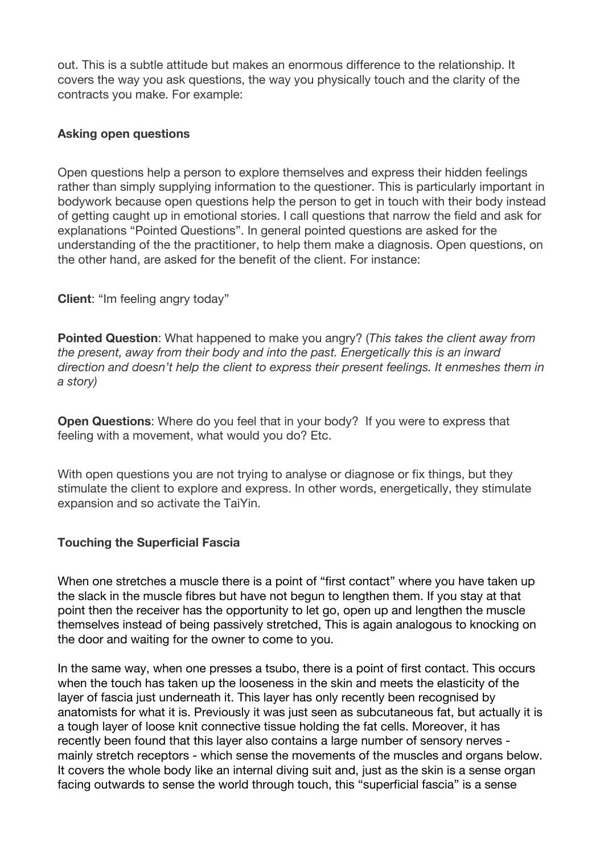out. This is a subtle attitude but makes an enormous difference to the relationship. It covers the way you ask questions, the way you physically touch and the clarity of the contracts you make. For example:

## **Asking open questions**

Open questions help a person to explore themselves and express their hidden feelings rather than simply supplying information to the questioner. This is particularly important in bodywork because open questions help the person to get in touch with their body instead of getting caught up in emotional stories. I call questions that narrow the field and ask for explanations "Pointed Questions". In general pointed questions are asked for the understanding of the the practitioner, to help them make a diagnosis. Open questions, on the other hand, are asked for the benefit of the client. For instance:

**Client**: "Im feeling angry today"

**Pointed Question**: What happened to make you angry? (*This takes the client away from the present, away from their body and into the past. Energetically this is an inward direction and doesn't help the client to express their present feelings. It enmeshes them in a story)*

**Open Questions**: Where do you feel that in your body? If you were to express that feeling with a movement, what would you do? Etc.

With open questions you are not trying to analyse or diagnose or fix things, but they stimulate the client to explore and express. In other words, energetically, they stimulate expansion and so activate the TaiYin.

## **Touching the Superficial Fascia**

When one stretches a muscle there is a point of "first contact" where you have taken up the slack in the muscle fibres but have not begun to lengthen them. If you stay at that point then the receiver has the opportunity to let go, open up and lengthen the muscle themselves instead of being passively stretched, This is again analogous to knocking on the door and waiting for the owner to come to you.

In the same way, when one presses a tsubo, there is a point of first contact. This occurs when the touch has taken up the looseness in the skin and meets the elasticity of the layer of fascia just underneath it. This layer has only recently been recognised by anatomists for what it is. Previously it was just seen as subcutaneous fat, but actually it is a tough layer of loose knit connective tissue holding the fat cells. Moreover, it has recently been found that this layer also contains a large number of sensory nerves mainly stretch receptors - which sense the movements of the muscles and organs below. It covers the whole body like an internal diving suit and, just as the skin is a sense organ facing outwards to sense the world through touch, this "superficial fascia" is a sense